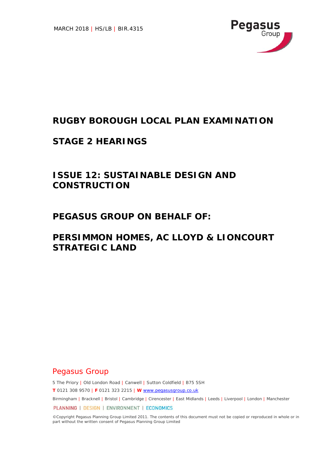

## **RUGBY BOROUGH LOCAL PLAN EXAMINATION**

### **STAGE 2 HEARINGS**

# **ISSUE 12: SUSTAINABLE DESIGN AND CONSTRUCTION**

### **PEGASUS GROUP ON BEHALF OF:**

## **PERSIMMON HOMES, AC LLOYD & LIONCOURT STRATEGIC LAND**

### Pegasus Group

5 The Priory | Old London Road | Canwell | Sutton Coldfield | B75 5SH

**T** 0121 308 9570 | **F** 0121 323 2215 | **W** www.pegasusgroup.co.uk

Birmingham | Bracknell | Bristol | Cambridge | Cirencester | East Midlands | Leeds | Liverpool | London | Manchester

PLANNING | DESIGN | ENVIRONMENT | ECONOMICS

©Copyright Pegasus Planning Group Limited 2011. The contents of this document must not be copied or reproduced in whole or in part without the written consent of Pegasus Planning Group Limited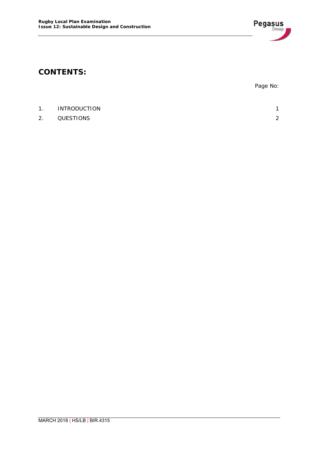

## **CONTENTS:**

|    |                     | Page No: |
|----|---------------------|----------|
|    |                     |          |
| 1. | <b>INTRODUCTION</b> | 1        |
| 2. | QUESTIONS           | 2        |
|    |                     |          |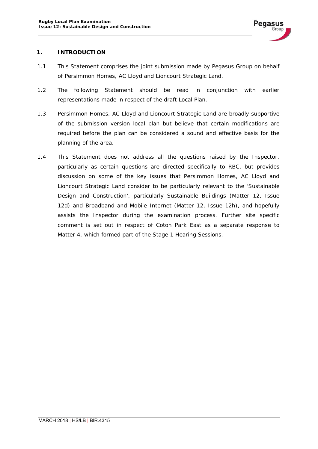

#### **1. INTRODUCTION**

- 1.1 This Statement comprises the joint submission made by Pegasus Group on behalf of Persimmon Homes, AC Lloyd and Lioncourt Strategic Land.
- 1.2 The following Statement should be read in conjunction with earlier representations made in respect of the draft Local Plan.
- 1.3 Persimmon Homes, AC Lloyd and Lioncourt Strategic Land are broadly supportive of the submission version local plan but believe that certain modifications are required before the plan can be considered a sound and effective basis for the planning of the area.
- 1.4 This Statement does not address all the questions raised by the Inspector, particularly as certain questions are directed specifically to RBC, but provides discussion on some of the key issues that Persimmon Homes, AC Lloyd and Lioncourt Strategic Land consider to be particularly relevant to the 'Sustainable Design and Construction', particularly Sustainable Buildings (Matter 12, Issue 12d) and Broadband and Mobile Internet (Matter 12, Issue 12h), and hopefully assists the Inspector during the examination process. Further site specific comment is set out in respect of Coton Park East as a separate response to Matter 4, which formed part of the Stage 1 Hearing Sessions.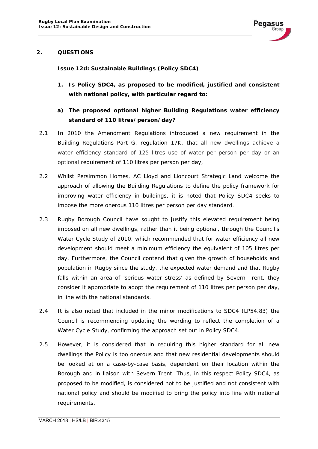

#### **2. QUESTIONS**

#### *Issue 12d: Sustainable Buildings (Policy SDC4)*

- *1. Is Policy SDC4, as proposed to be modified, justified and consistent with national policy, with particular regard to:*
- *a) The proposed optional higher Building Regulations water efficiency standard of 110 litres/person/day?*
- 2.1 In 2010 the Amendment Regulations introduced a new requirement in the Building Regulations Part G, regulation 17K, that all new dwellings achieve a water efficiency standard of 125 litres use of water per person per day or an optional requirement of 110 litres per person per day,
- 2.2 Whilst Persimmon Homes, AC Lloyd and Lioncourt Strategic Land welcome the approach of allowing the Building Regulations to define the policy framework for improving water efficiency in buildings, it is noted that Policy SDC4 seeks to impose the more onerous 110 litres per person per day standard.
- 2.3 Rugby Borough Council have sought to justify this elevated requirement being imposed on all new dwellings, rather than it being optional, through the Council's Water Cycle Study of 2010, which recommended that for water efficiency all new development should meet a minimum efficiency the equivalent of 105 litres per day. Furthermore, the Council contend that given the growth of households and population in Rugby since the study, the expected water demand and that Rugby falls within an area of 'serious water stress' as defined by Severn Trent, they consider it appropriate to adopt the requirement of 110 litres per person per day, in line with the national standards.
- 2.4 It is also noted that included in the minor modifications to SDC4 (LP54.83) the Council is recommending updating the wording to reflect the completion of a Water Cycle Study, confirming the approach set out in Policy SDC4.
- 2.5 However, it is considered that in requiring this higher standard for all new dwellings the Policy is too onerous and that new residential developments should be looked at on a case-by-case basis, dependent on their location within the Borough and in liaison with Severn Trent. Thus, in this respect Policy SDC4, as proposed to be modified, is considered not to be justified and not consistent with national policy and should be modified to bring the policy into line with national requirements.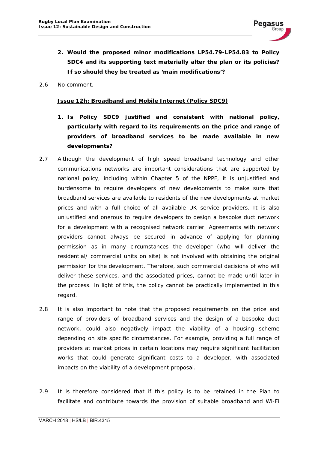

- *2. Would the proposed minor modifications LP54.79-LP54.83 to Policy SDC4 and its supporting text materially alter the plan or its policies? If so should they be treated as 'main modifications'?*
- 2.6 No comment.

#### *Issue 12h: Broadband and Mobile Internet (Policy SDC9)*

- *1. Is Policy SDC9 justified and consistent with national policy, particularly with regard to its requirements on the price and range of providers of broadband services to be made available in new developments?*
- 2.7 Although the development of high speed broadband technology and other communications networks are important considerations that are supported by national policy, including within Chapter 5 of the NPPF, it is unjustified and burdensome to require developers of new developments to make sure that broadband services are available to residents of the new developments at market prices and with a full choice of all available UK service providers. It is also unjustified and onerous to require developers to design a bespoke duct network for a development with a recognised network carrier. Agreements with network providers cannot always be secured in advance of applying for planning permission as in many circumstances the developer (who will deliver the residential/ commercial units on site) is not involved with obtaining the original permission for the development. Therefore, such commercial decisions of who will deliver these services, and the associated prices, cannot be made until later in the process. In light of this, the policy cannot be practically implemented in this regard.
- 2.8 It is also important to note that the proposed requirements on the price and range of providers of broadband services and the design of a bespoke duct network, could also negatively impact the viability of a housing scheme depending on site specific circumstances. For example, providing a full range of providers at market prices in certain locations may require significant facilitation works that could generate significant costs to a developer, with associated impacts on the viability of a development proposal.
- 2.9 It is therefore considered that if this policy is to be retained in the Plan to facilitate and contribute towards the provision of suitable broadband and Wi-Fi